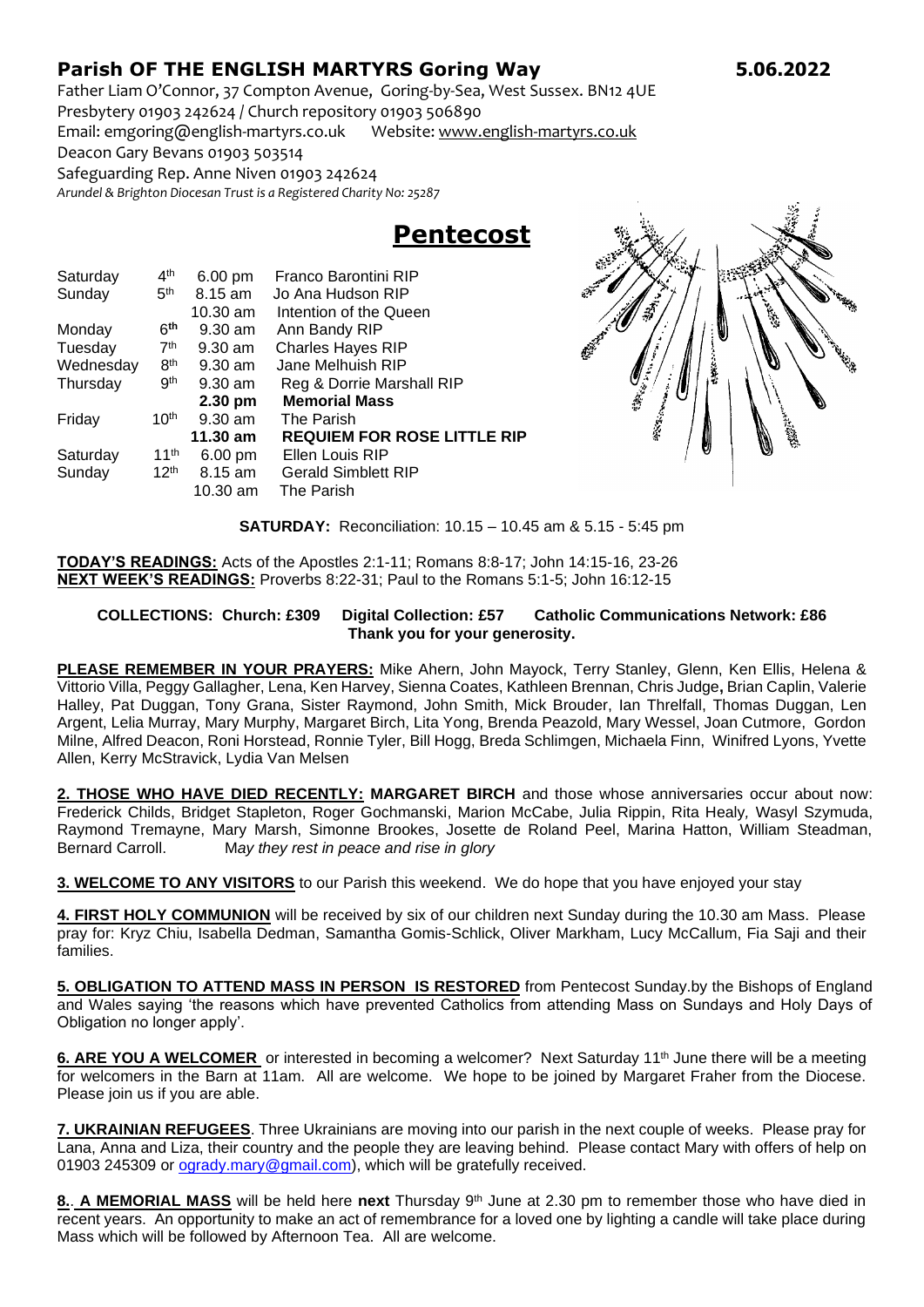## **Parish OF THE ENGLISH MARTYRS Goring Way 5.06.2022**

Father Liam O'Connor, 37 Compton Avenue, Goring-by-Sea, West Sussex. BN12 4UE Presbytery 01903 242624 / Church repository 01903 506890

Email: emgoring@english-martyrs.co.uk Website[: www.english-martyrs.co.uk](http://www.english-martyrs.co.uk/) 

Deacon Gary Bevans 01903 503514

Safeguarding Rep. Anne Niven 01903 242624

*Arundel & Brighton Diocesan Trust is a Registered Charity No: 25287*

## **Pentecost**

| Saturday  | 4 <sup>th</sup>  | 6.00 pm    | Franco Barontini RIP               |
|-----------|------------------|------------|------------------------------------|
| Sunday    | 5 <sup>th</sup>  | 8.15 am    | Jo Ana Hudson RIP                  |
|           |                  | $10.30$ am | Intention of the Queen             |
| Monday    | 6 <sup>th</sup>  | $9.30$ am  | Ann Bandy RIP                      |
| Tuesday   | 7 <sup>th</sup>  | $9.30$ am  | <b>Charles Hayes RIP</b>           |
| Wednesday | 8 <sup>th</sup>  | $9.30$ am  | Jane Melhuish RIP                  |
| Thursday  | .9 <sup>th</sup> | $9.30$ am  | Reg & Dorrie Marshall RIP          |
|           |                  | 2.30 pm    | <b>Memorial Mass</b>               |
| Friday    | 10 <sup>th</sup> | $9.30$ am  | The Parish                         |
|           |                  | 11.30 am   | <b>REQUIEM FOR ROSE LITTLE RIP</b> |
| Saturday  | 11 <sup>th</sup> | 6.00 pm    | Ellen Louis RIP                    |
| Sunday    | 12 <sup>th</sup> | $8.15$ am  | <b>Gerald Simblett RIP</b>         |
|           |                  | $10.30$ am | The Parish                         |



**SATURDAY:** Reconciliation: 10.15 – 10.45 am & 5.15 - 5:45 pm

**TODAY'S READINGS:** Acts of the Apostles 2:1-11; Romans 8:8-17; John 14:15-16, 23-26 **NEXT WEEK'S READINGS:** Proverbs 8:22-31; Paul to the Romans 5:1-5; John 16:12-15

## **COLLECTIONS: Church: £309 Digital Collection: £57 Catholic Communications Network: £86 Thank you for your generosity.**

**PLEASE REMEMBER IN YOUR PRAYERS:** Mike Ahern, John Mayock, Terry Stanley, Glenn, Ken Ellis, Helena & Vittorio Villa, Peggy Gallagher, Lena, Ken Harvey, Sienna Coates, Kathleen Brennan, Chris Judge**,** Brian Caplin, Valerie Halley, Pat Duggan, Tony Grana, Sister Raymond, John Smith, Mick Brouder, Ian Threlfall, Thomas Duggan, Len Argent, Lelia Murray, Mary Murphy, Margaret Birch, Lita Yong, Brenda Peazold, Mary Wessel, Joan Cutmore, Gordon Milne, Alfred Deacon, Roni Horstead, Ronnie Tyler, Bill Hogg, Breda Schlimgen, Michaela Finn, Winifred Lyons, Yvette Allen, Kerry McStravick, Lydia Van Melsen

**2. THOSE WHO HAVE DIED RECENTLY: MARGARET BIRCH** and those whose anniversaries occur about now: Frederick Childs, Bridget Stapleton, Roger Gochmanski, Marion McCabe, Julia Rippin, Rita Healy*,* Wasyl Szymuda, Raymond Tremayne, Mary Marsh, Simonne Brookes, Josette de Roland Peel, Marina Hatton, William Steadman, Bernard Carroll. M*ay they rest in peace and rise in glory*

**3. WELCOME TO ANY VISITORS** to our Parish this weekend. We do hope that you have enjoyed your stay

**4. FIRST HOLY COMMUNION** will be received by six of our children next Sunday during the 10.30 am Mass. Please pray for: Kryz Chiu, Isabella Dedman, Samantha Gomis-Schlick, Oliver Markham, Lucy McCallum, Fia Saji and their families.

**5. OBLIGATION TO ATTEND MASS IN PERSON IS RESTORED** from Pentecost Sunday.by the Bishops of England and Wales saying 'the reasons which have prevented Catholics from attending Mass on Sundays and Holy Days of Obligation no longer apply'.

**6. ARE YOU A WELCOMER** or interested in becoming a welcomer? Next Saturday 11<sup>th</sup> June there will be a meeting for welcomers in the Barn at 11am. All are welcome. We hope to be joined by Margaret Fraher from the Diocese. Please join us if you are able.

**7. UKRAINIAN REFUGEES**. Three Ukrainians are moving into our parish in the next couple of weeks. Please pray for Lana, Anna and Liza, their country and the people they are leaving behind. Please contact Mary with offers of help on 01903 245309 or [ogrady.mary@gmail.com\)](mailto:ogrady.mary@gmail.com), which will be gratefully received.

**8.**. **A MEMORIAL MASS** will be held here **next** Thursday 9th June at 2.30 pm to remember those who have died in recent years. An opportunity to make an act of remembrance for a loved one by lighting a candle will take place during Mass which will be followed by Afternoon Tea. All are welcome.